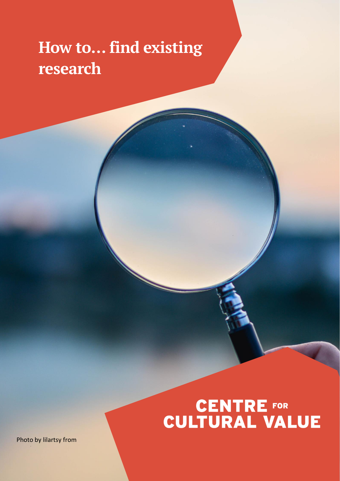# **How to… find existing research**

# **CENTRE FOR<br>CULTURAL VALUE**

Photo by lilartsy from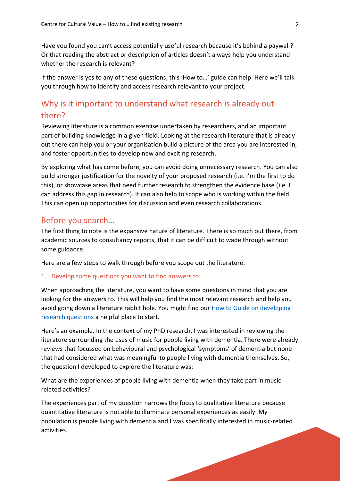Have you found you can't access potentially useful research because it's behind a paywall? Or that reading the abstract or description of articles doesn't always help you understand whether the research is relevant?

If the answer is yes to any of these questions, this 'How to…' guide can help. Here we'll talk you through how to identify and access research relevant to your project.

## Why is it important to understand what research is already out there?

Reviewing literature is a common exercise undertaken by researchers, and an important part of building knowledge in a given field. Looking at the research literature that is already out there can help you or your organisation build a picture of the area you are interested in, and foster opportunities to develop new and exciting research.

By exploring what has come before, you can avoid doing unnecessary research. You can also build stronger justification for the novelty of your proposed research (i.e. I'm the first to do this), or showcase areas that need further research to strengthen the evidence base (i.e. I can address this gap in research). It can also help to scope who is working within the field. This can open up opportunities for discussion and even research collaborations.

### Before you search…

The first thing to note is the expansive nature of literature. There is so much out there, from academic sources to consultancy reports, that it can be difficult to wade through without some guidance.

Here are a few steps to walk through before you scope out the literature.

#### 1. Develop some questions you want to find answers to

When approaching the literature, you want to have some questions in mind that you are looking for the answers to. This will help you find the most relevant research and help you avoid going down a literature rabbit hole. You might find our How to Guide on developing [research questions](https://www.culturehive.co.uk/CVIresources/how-to-develop-a-research-question/) a helpful place to start.

Here's an example. In the context of my PhD research, I was interested in reviewing the literature surrounding the uses of music for people living with dementia. There were already reviews that focussed on behavioural and psychological 'symptoms' of dementia but none that had considered what was meaningful to people living with dementia themselves. So, the question I developed to explore the literature was:

What are the experiences of people living with dementia when they take part in musicrelated activities?

The experiences part of my question narrows the focus to qualitative literature because quantitative literature is not able to illuminate personal experiences as easily. My population is people living with dementia and I was specifically interested in music-related activities.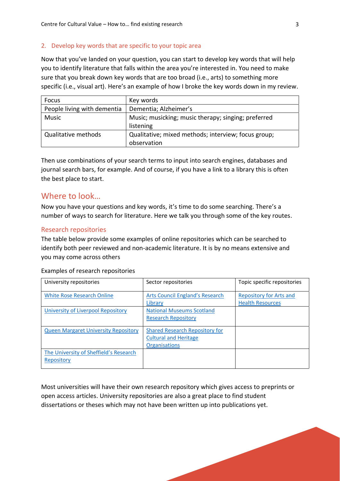#### 2. Develop key words that are specific to your topic area

Now that you've landed on your question, you can start to develop key words that will help you to identify literature that falls within the area you're interested in. You need to make sure that you break down key words that are too broad (i.e., arts) to something more specific (i.e., visual art). Here's an example of how I broke the key words down in my review.

| Focus                       | Key words                                           |
|-----------------------------|-----------------------------------------------------|
| People living with dementia | Dementia; Alzheimer's                               |
| <b>Music</b>                | Music; musicking; music therapy; singing; preferred |
|                             | listening                                           |
| Qualitative methods         | Qualitative; mixed methods; interview; focus group; |
|                             | observation                                         |

Then use combinations of your search terms to input into search engines, databases and journal search bars, for example. And of course, if you have a link to a library this is often the best place to start.

#### Where to look…

Now you have your questions and key words, it's time to do some searching. There's a number of ways to search for literature. Here we talk you through some of the key routes.

#### Research repositories

The table below provide some examples of online repositories which can be searched to identify both peer reviewed and non-academic literature. It is by no means extensive and you may come across others

| University repositories                              | Sector repositories                                                                           | Topic specific repositories                               |
|------------------------------------------------------|-----------------------------------------------------------------------------------------------|-----------------------------------------------------------|
| <b>White Rose Research Online</b>                    | <b>Arts Council England's Research</b><br>Library                                             | <b>Repository for Arts and</b><br><b>Health Resources</b> |
| University of Liverpool Repository                   | <b>National Museums Scotland</b><br><b>Research Repository</b>                                |                                                           |
| <b>Queen Margaret University Repository</b>          | <b>Shared Research Repository for</b><br><b>Cultural and Heritage</b><br><b>Organisations</b> |                                                           |
| The University of Sheffield's Research<br>Repository |                                                                                               |                                                           |

Examples of research repositories

Most universities will have their own research repository which gives access to preprints or open access articles. University repositories are also a great place to find student dissertations or theses which may not have been written up into publications yet.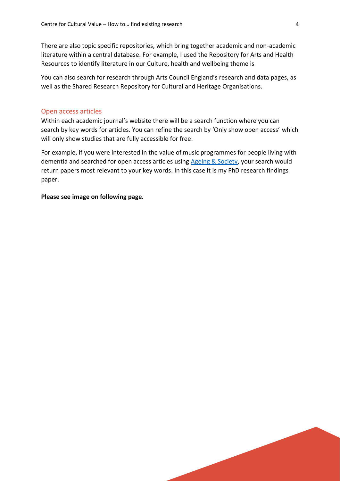There are also topic specific repositories, which bring together academic and non-academic literature within a central database. For example, I used the Repository for Arts and Health Resources to identify literature in our Culture, health and wellbeing theme is

You can also search for research through Arts Council England's research and data pages, as well as the Shared Research Repository for Cultural and Heritage Organisations.

#### Open access articles

Within each academic journal's website there will be a search function where you can search by key words for articles. You can refine the search by 'Only show open access' which will only show studies that are fully accessible for free.

For example, if you were interested in the value of music programmes for people living with dementia and searched for open access articles using [Ageing & Society,](https://www.cambridge.org/core/journals/ageing-and-society/) your search would return papers most relevant to your key words. In this case it is my PhD research findings paper.

**Please see image on following page.**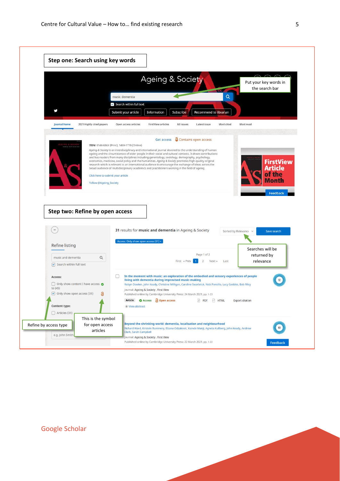

Google Scholar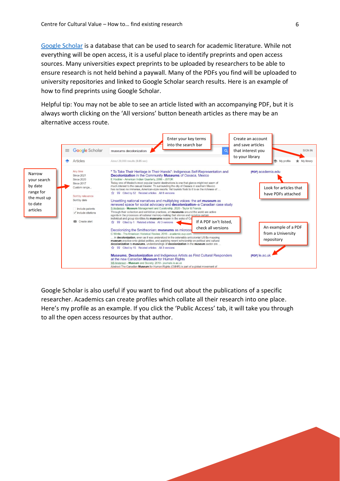[Google Scholar](https://scholar.google.com/) is a database that can be used to search for academic literature. While not everything will be open access, it is a useful place to identify preprints and open access sources. Many universities expect preprints to be uploaded by researchers to be able to ensure research is not held behind a paywall. Many of the PDFs you find will be uploaded to university repositories and linked to Google Scholar search results. Here is an example of how to find preprints using Google Scholar.

Helpful tip: You may not be able to see an article listed with an accompanying PDF, but it is always worth clicking on the 'All versions' button beneath articles as there may be an alternative access route.



Google Scholar is also useful if you want to find out about the publications of a specific researcher. Academics can create profiles which collate all their research into one place. Here's my profile as an example. If you click the 'Public Access' tab, it will take you through to all the open access resources by that author.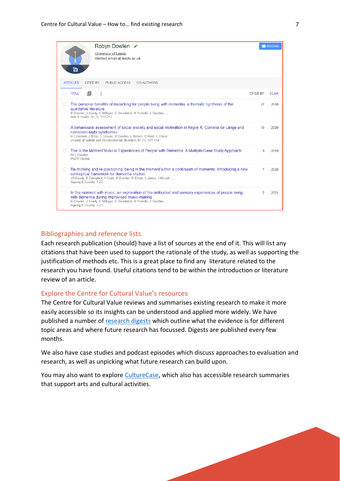|             | Robyn Dowlen ୵                                                                                                                                                                                                                                                            |                 | $\blacksquare$ FOLLOW |
|-------------|---------------------------------------------------------------------------------------------------------------------------------------------------------------------------------------------------------------------------------------------------------------------------|-----------------|-----------------------|
|             | University of Leeds<br>Verified email at leeds ac uk<br>ľo                                                                                                                                                                                                                |                 |                       |
|             | <b>PUBLIC ACCESS</b><br><b>ARTICLES</b><br><b>CITED BY</b><br><b>CO-AUTHORS</b>                                                                                                                                                                                           |                 |                       |
|             | ÷<br>ıΘ.<br><b>TITLE</b>                                                                                                                                                                                                                                                  | <b>CITED BY</b> | <b>YEAR</b>           |
|             | The personal benefits of musicking for people living with dementia: a thematic synthesis of the<br>qualitative literature<br>R Dowlen, J Keady, C Milligan, C Swarbrick, N Ponsillo, L Geddes,<br>Arts & Health 10 (3), 197-212                                           | 27              | 2018                  |
| <b>Tale</b> | A behavioural assessment of social anxiety and social motivation in fragile X, Cornelia de Lange and<br>rubinstein-taybi syndromes<br>H Crawford, J Moss, L Groves, R Dowlen, L Nelson, D Reid, C Oliver<br>Journal of autism and developmental disorders 50 (1), 127-144 | 10              | 2020                  |
|             | The'ln the Moment'Musical Experiences of People with Dementia: A Multiple-Case Study Approach<br><b>REL Dowlen</b><br>PQDT-Global                                                                                                                                         | 9               | 2019                  |
|             | Re-thinking and re-positioning 'being in the moment' within a continuum of moments: Introducing a new<br>conceptual framework for dementia studies<br>JD Keady, S Campbell, A Clark, R Dowlen, R Elvish, L Jones, J Kindell,<br>Ageing & Society, 1-22                    | 7               | 2020                  |
|             | In the moment with music: an exploration of the embodied and sensory experiences of people living<br>with dementia during improvised music-making<br>R Dowlen, J Keady, C Milligan, C Swarbrick, N Ponsillo, L Geddes,<br>Ageing & Society, 1-23                          | $\mathcal{P}$   | 2021                  |

#### Bibliographies and reference lists

Each research publication (should) have a list of sources at the end of it. This will list any citations that have been used to support the rationale of the study, as well as supporting the justification of methods etc. This is a great place to find any literature related to the research you have found. Useful citations tend to be within the introduction or literature review of an article.

#### Explore the Centre for Cultural Value's resources

The Centre for Cultural Value reviews and summarises existing research to make it more easily accessible so its insights can be understood and applied more widely. We have published a number of [research digests](https://www.culturehive.co.uk/CVIresources/culture-on-referral-research-digest/?owner=CVI) which outline what the evidence is for different topic areas and where future research has focussed. Digests are published every few months.

We also have case studies and podcast episodes which discuss approaches to evaluation and research, as well as unpicking what future research can build upon.

You may also want to explor[e CultureCase,](https://culturecase.org/) which also has accessible research summaries that support arts and cultural activities.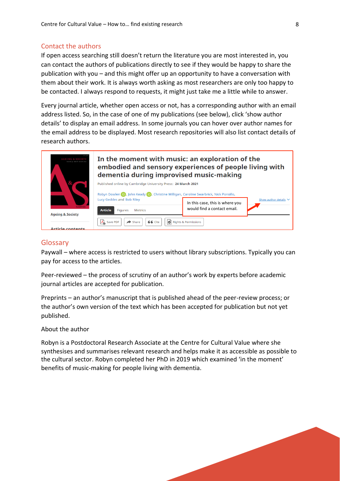#### Contact the authors

If open access searching still doesn't return the literature you are most interested in, you can contact the authors of publications directly to see if they would be happy to share the publication with you – and this might offer up an opportunity to have a conversation with them about their work. It is always worth asking as most researchers are only too happy to be contacted. I always respond to requests, it might just take me a little while to answer.

Every journal article, whether open access or not, has a corresponding author with an email address listed. So, in the case of one of my publications (see below), click 'show author details' to display an email address. In some journals you can hover over author names for the email address to be displayed. Most research repositories will also list contact details of research authors.



#### Glossary

Paywall – where access is restricted to users without library subscriptions. Typically you can pay for access to the articles.

Peer-reviewed – the process of scrutiny of an author's work by experts before academic journal articles are accepted for publication.

Preprints – an author's manuscript that is published ahead of the peer-review process; or the author's own version of the text which has been accepted for publication but not yet published.

About the author

Robyn is a Postdoctoral Research Associate at the Centre for Cultural Value where she synthesises and summarises relevant research and helps make it as accessible as possible to the cultural sector. Robyn completed her PhD in 2019 which examined 'in the moment' benefits of music-making for people living with dementia.